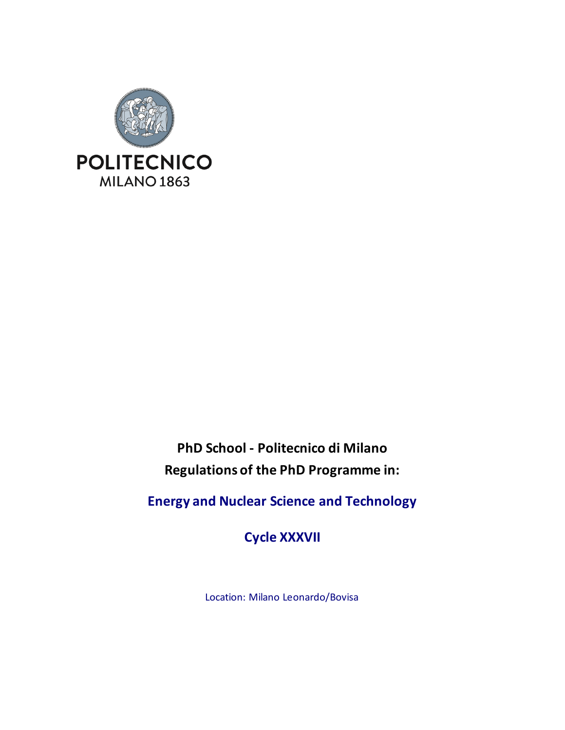

**PhD School - Politecnico di Milano Regulations of the PhD Programme in:**

**Energy and Nuclear Science and Technology**

**Cycle XXXVII**

Location: Milano Leonardo/Bovisa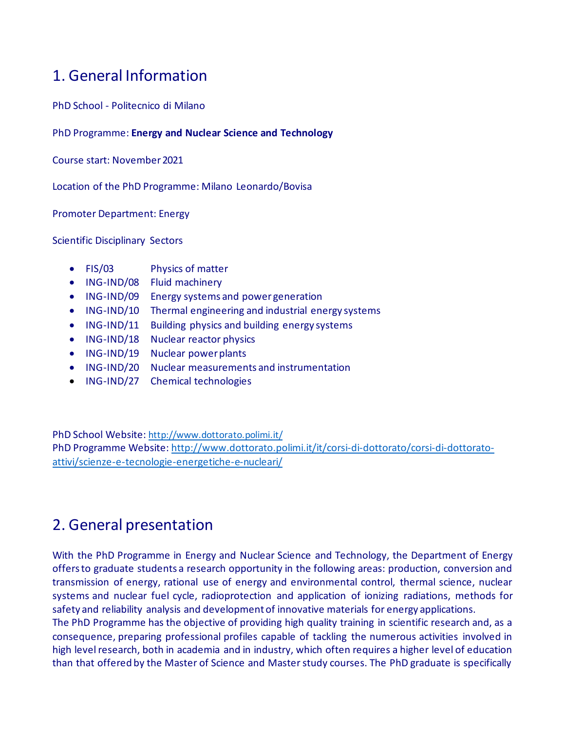## 1. General Information

PhD School - Politecnico di Milano

PhD Programme: **Energy and Nuclear Science and Technology**

Course start: November 2021

Location of the PhD Programme: Milano Leonardo/Bovisa

Promoter Department: Energy

Scientific Disciplinary Sectors

- FIS/03 Physics of matter
- ING-IND/08 Fluid machinery
- ING-IND/09 Energy systems and power generation
- ING-IND/10 Thermal engineering and industrial energy systems
- ING-IND/11 Building physics and building energy systems
- ING-IND/18 Nuclear reactor physics
- ING-IND/19 Nuclear power plants
- ING-IND/20 Nuclear measurements and instrumentation
- ING-IND/27 Chemical technologies

PhD School Website[: http://www.dottorato.polimi.it/](http://www.dottorato.polimi.it/) PhD Programme Website: [http://www.dottorato.polimi.it/it/corsi-di-dottorato/corsi-di-dottorato](http://www.dottorato.polimi.it/it/corsi-di-dottorato/corsi-di-dottorato-attivi/scienze-e-tecnologie-energetiche-e-nucleari/)[attivi/scienze-e-tecnologie-energetiche-e-nucleari/](http://www.dottorato.polimi.it/it/corsi-di-dottorato/corsi-di-dottorato-attivi/scienze-e-tecnologie-energetiche-e-nucleari/)

### 2. General presentation

With the PhD Programme in Energy and Nuclear Science and Technology, the Department of Energy offers to graduate students a research opportunity in the following areas: production, conversion and transmission of energy, rational use of energy and environmental control, thermal science, nuclear systems and nuclear fuel cycle, radioprotection and application of ionizing radiations, methods for safety and reliability analysis and development of innovative materials for energy applications.

The PhD Programme has the objective of providing high quality training in scientific research and, as a consequence, preparing professional profiles capable of tackling the numerous activities involved in high level research, both in academia and in industry, which often requires a higher level of education than that offered by the Master of Science and Master study courses. The PhD graduate is specifically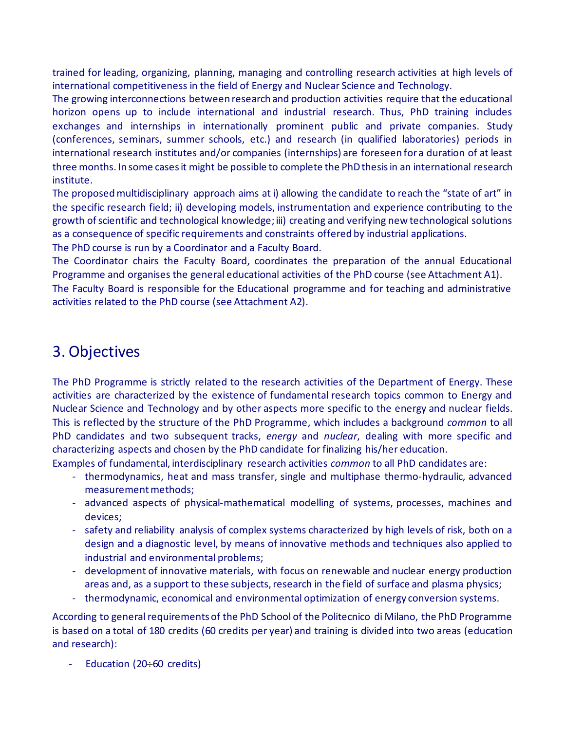trained for leading, organizing, planning, managing and controlling research activities at high levels of international competitiveness in the field of Energy and Nuclear Science and Technology.

The growing interconnections between research and production activities require that the educational horizon opens up to include international and industrial research. Thus, PhD training includes exchanges and internships in internationally prominent public and private companies. Study (conferences, seminars, summer schools, etc.) and research (in qualified laboratories) periods in international research institutes and/or companies (internships) are foreseen for a duration of at least three months. In some cases it might be possible to complete the PhD thesis in an international research institute.

The proposed multidisciplinary approach aims at i) allowing the candidate to reach the "state of art" in the specific research field; ii) developing models, instrumentation and experience contributing to the growth of scientific and technological knowledge; iii) creating and verifying new technological solutions as a consequence of specific requirements and constraints offered by industrial applications.

The PhD course is run by a Coordinator and a Faculty Board.

The Coordinator chairs the Faculty Board, coordinates the preparation of the annual Educational Programme and organises the general educational activities of the PhD course (see Attachment A1). The Faculty Board is responsible for the Educational programme and for teaching and administrative

activities related to the PhD course (see Attachment A2).

## 3. Objectives

The PhD Programme is strictly related to the research activities of the Department of Energy. These activities are characterized by the existence of fundamental research topics common to Energy and Nuclear Science and Technology and by other aspects more specific to the energy and nuclear fields. This is reflected by the structure of the PhD Programme, which includes a background *common* to all PhD candidates and two subsequent tracks, *energy* and *nuclear*, dealing with more specific and characterizing aspects and chosen by the PhD candidate for finalizing his/her education.

Examples of fundamental, interdisciplinary research activities *common* to all PhD candidates are:

- thermodynamics, heat and mass transfer, single and multiphase thermo-hydraulic, advanced measurement methods;
- advanced aspects of physical-mathematical modelling of systems, processes, machines and devices;
- safety and reliability analysis of complex systems characterized by high levels of risk, both on a design and a diagnostic level, by means of innovative methods and techniques also applied to industrial and environmental problems;
- development of innovative materials, with focus on renewable and nuclear energy production areas and, as a support to these subjects, research in the field of surface and plasma physics;
- thermodynamic, economical and environmental optimization of energy conversion systems.

According to general requirements of the PhD School of the Politecnico di Milano, the PhD Programme is based on a total of 180 credits (60 credits per year) and training is divided into two areas (education and research):

Education ( $20 \div 60$  credits)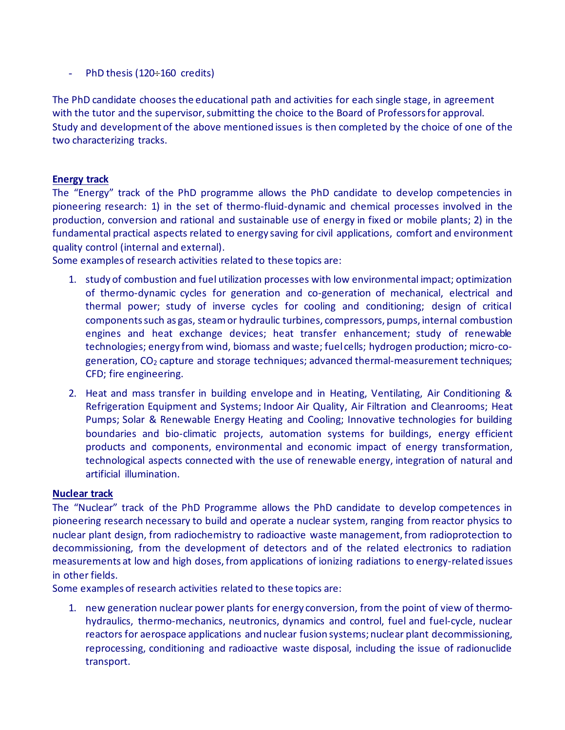- PhD thesis (120÷160 credits)

The PhD candidate chooses the educational path and activities for each single stage, in agreement with the tutor and the supervisor, submitting the choice to the Board of Professors for approval. Study and development of the above mentioned issues is then completed by the choice of one of the two characterizing tracks.

#### **Energy track**

The "Energy" track of the PhD programme allows the PhD candidate to develop competencies in pioneering research: 1) in the set of thermo-fluid-dynamic and chemical processes involved in the production, conversion and rational and sustainable use of energy in fixed or mobile plants; 2) in the fundamental practical aspects related to energy saving for civil applications, comfort and environment quality control (internal and external).

Some examples of research activities related to these topics are:

- 1. study of combustion and fuel utilization processes with low environmental impact; optimization of thermo-dynamic cycles for generation and co-generation of mechanical, electrical and thermal power; study of inverse cycles for cooling and conditioning; design of critical components such as gas, steam or hydraulic turbines, compressors, pumps, internal combustion engines and heat exchange devices; heat transfer enhancement; study of renewable technologies; energy from wind, biomass and waste; fuel cells; hydrogen production; micro-cogeneration, CO<sub>2</sub> capture and storage techniques; advanced thermal-measurement techniques; CFD; fire engineering.
- 2. Heat and mass transfer in building envelope and in Heating, Ventilating, Air Conditioning & Refrigeration Equipment and Systems; Indoor Air Quality, Air Filtration and Cleanrooms; Heat Pumps; Solar & Renewable Energy Heating and Cooling; Innovative technologies for building boundaries and bio-climatic projects, automation systems for buildings, energy efficient products and components, environmental and economic impact of energy transformation, technological aspects connected with the use of renewable energy, integration of natural and artificial illumination.

#### **Nuclear track**

The "Nuclear" track of the PhD Programme allows the PhD candidate to develop competences in pioneering research necessary to build and operate a nuclear system, ranging from reactor physics to nuclear plant design, from radiochemistry to radioactive waste management, from radioprotection to decommissioning, from the development of detectors and of the related electronics to radiation measurements at low and high doses, from applications of ionizing radiations to energy-related issues in other fields.

Some examples of research activities related to these topics are:

1. new generation nuclear power plants for energy conversion, from the point of view of thermohydraulics, thermo-mechanics, neutronics, dynamics and control, fuel and fuel-cycle, nuclear reactors for aerospace applications and nuclear fusion systems; nuclear plant decommissioning, reprocessing, conditioning and radioactive waste disposal, including the issue of radionuclide transport.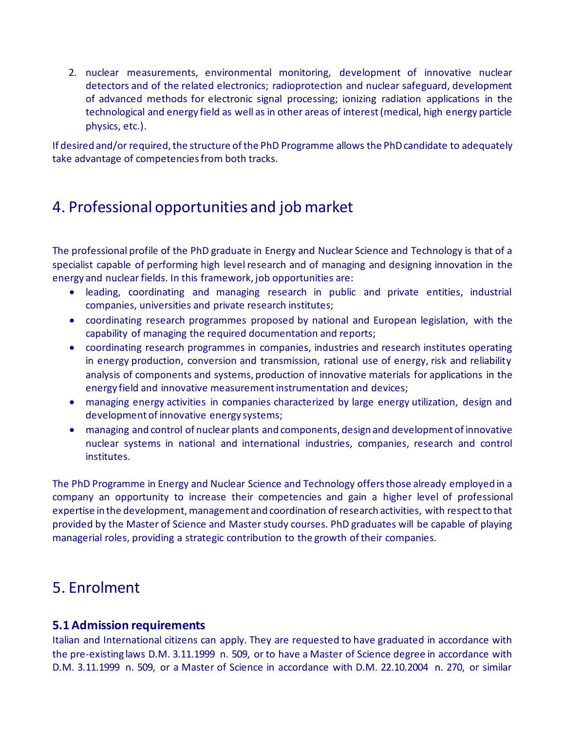2. nuclear measurements, environmental monitoring, development of innovative nuclear detectors and of the related electronics; radioprotection and nuclear safeguard, development of advanced methods for electronic signal processing; ionizing radiation applications in the technological and energy field as well as in other areas of interest (medical, high energy particle physics, etc.).

If desired and/or required, the structure of the PhD Programme allows the PhD candidate to adequately take advantage of competencies from both tracks.

## 4. Professional opportunities and job market

The professional profile of the PhD graduate in Energy and Nuclear Science and Technology is that of a specialist capable of performing high level research and of managing and designing innovation in the energy and nuclear fields. In this framework, job opportunities are:

- leading, coordinating and managing research in public and private entities, industrial companies, universities and private research institutes;
- coordinating research programmes proposed by national and European legislation, with the capability of managing the required documentation and reports;
- coordinating research programmes in companies, industries and research institutes operating in energy production, conversion and transmission, rational use of energy, risk and reliability analysis of components and systems, production of innovative materials for applications in the energy field and innovative measurement instrumentation and devices;
- managing energy activities in companies characterized by large energy utilization, design and development of innovative energy systems;
- managing and control of nuclear plants and components, design and development of innovative nuclear systems in national and international industries, companies, research and control institutes.

The PhD Programme in Energy and Nuclear Science and Technology offers those already employed in a company an opportunity to increase their competencies and gain a higher level of professional expertise in the development, management and coordination of research activities, with respect to that provided by the Master of Science and Master study courses. PhD graduates will be capable of playing managerial roles, providing a strategic contribution to the growth of their companies.

### 5. Enrolment

### **5.1 Admission requirements**

Italian and International citizens can apply. They are requested to have graduated in accordance with the pre-existing laws D.M. 3.11.1999 n. 509, or to have a Master of Science degree in accordance with D.M. 3.11.1999 n. 509, or a Master of Science in accordance with D.M. 22.10.2004 n. 270, or similar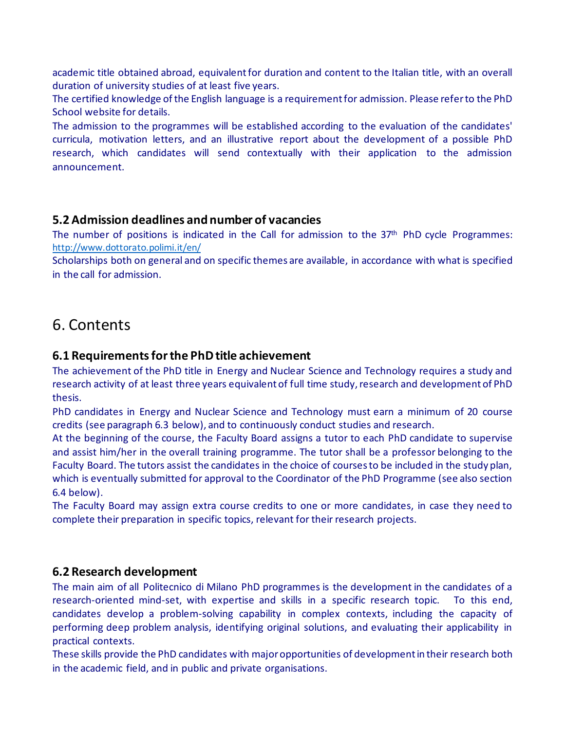academic title obtained abroad, equivalent for duration and content to the Italian title, with an overall duration of university studies of at least five years.

The certified knowledge of the English language is a requirement for admission. Please refer to the PhD School website for details.

The admission to the programmes will be established according to the evaluation of the candidates' curricula, motivation letters, and an illustrative report about the development of a possible PhD research, which candidates will send contextually with their application to the admission announcement.

### **5.2 Admission deadlines and number of vacancies**

The number of positions is indicated in the Call for admission to the  $37<sup>th</sup>$  PhD cycle Programmes: <http://www.dottorato.polimi.it/en/>

Scholarships both on general and on specific themes are available, in accordance with what is specified in the call for admission.

### 6. Contents

### **6.1 Requirements for the PhD title achievement**

The achievement of the PhD title in Energy and Nuclear Science and Technology requires a study and research activity of at least three years equivalent of full time study, research and development of PhD thesis.

PhD candidates in Energy and Nuclear Science and Technology must earn a minimum of 20 course credits (see paragraph 6.3 below), and to continuously conduct studies and research.

At the beginning of the course, the Faculty Board assigns a tutor to each PhD candidate to supervise and assist him/her in the overall training programme. The tutor shall be a professor belonging to the Faculty Board. The tutors assist the candidates in the choice of courses to be included in the study plan, which is eventually submitted for approval to the Coordinator of the PhD Programme (see also section 6.4 below).

The Faculty Board may assign extra course credits to one or more candidates, in case they need to complete their preparation in specific topics, relevant for their research projects.

### **6.2 Research development**

The main aim of all Politecnico di Milano PhD programmes is the development in the candidates of a research-oriented mind-set, with expertise and skills in a specific research topic. To this end, candidates develop a problem-solving capability in complex contexts, including the capacity of performing deep problem analysis, identifying original solutions, and evaluating their applicability in practical contexts.

These skills provide the PhD candidates with major opportunities of development in their research both in the academic field, and in public and private organisations.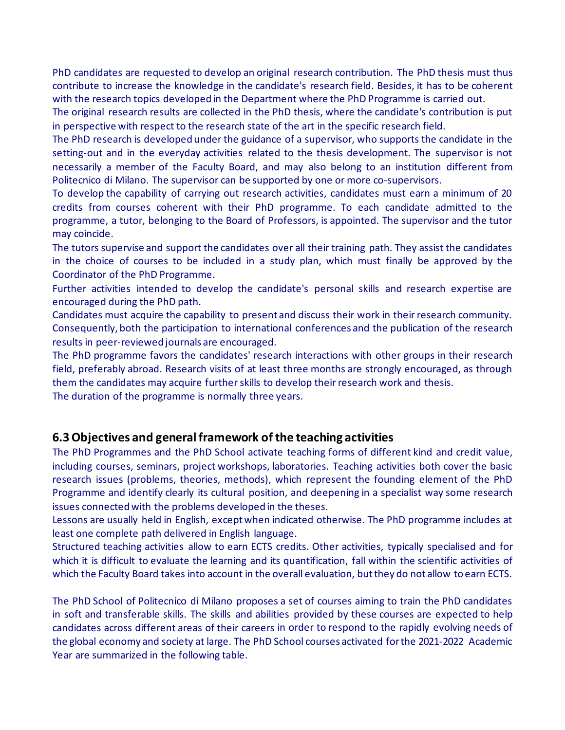PhD candidates are requested to develop an original research contribution. The PhD thesis must thus contribute to increase the knowledge in the candidate's research field. Besides, it has to be coherent with the research topics developed in the Department where the PhD Programme is carried out.

The original research results are collected in the PhD thesis, where the candidate's contribution is put in perspective with respect to the research state of the art in the specific research field.

The PhD research is developed under the guidance of a supervisor, who supports the candidate in the setting-out and in the everyday activities related to the thesis development. The supervisor is not necessarily a member of the Faculty Board, and may also belong to an institution different from Politecnico di Milano. The supervisor can be supported by one or more co-supervisors.

To develop the capability of carrying out research activities, candidates must earn a minimum of 20 credits from courses coherent with their PhD programme. To each candidate admitted to the programme, a tutor, belonging to the Board of Professors, is appointed. The supervisor and the tutor may coincide.

The tutors supervise and support the candidates over all their training path. They assist the candidates in the choice of courses to be included in a study plan, which must finally be approved by the Coordinator of the PhD Programme.

Further activities intended to develop the candidate's personal skills and research expertise are encouraged during the PhD path.

Candidates must acquire the capability to present and discuss their work in their research community. Consequently, both the participation to international conferences and the publication of the research results in peer-reviewed journals are encouraged.

The PhD programme favors the candidates' research interactions with other groups in their research field, preferably abroad. Research visits of at least three months are strongly encouraged, as through them the candidates may acquire further skills to develop their research work and thesis.

The duration of the programme is normally three years.

#### **6.3 Objectives and general framework of the teaching activities**

The PhD Programmes and the PhD School activate teaching forms of different kind and credit value, including courses, seminars, project workshops, laboratories. Teaching activities both cover the basic research issues (problems, theories, methods), which represent the founding element of the PhD Programme and identify clearly its cultural position, and deepening in a specialist way some research issues connected with the problems developed in the theses.

Lessons are usually held in English, except when indicated otherwise. The PhD programme includes at least one complete path delivered in English language.

Structured teaching activities allow to earn ECTS credits. Other activities, typically specialised and for which it is difficult to evaluate the learning and its quantification, fall within the scientific activities of which the Faculty Board takes into account in the overall evaluation, but they do not allow to earn ECTS.

The PhD School of Politecnico di Milano proposes a set of courses aiming to train the PhD candidates in soft and transferable skills. The skills and abilities provided by these courses are expected to help candidates across different areas of their careers in order to respond to the rapidly evolving needs of the global economy and society at large. The PhD School courses activated for the 2021-2022 Academic Year are summarized in the following table.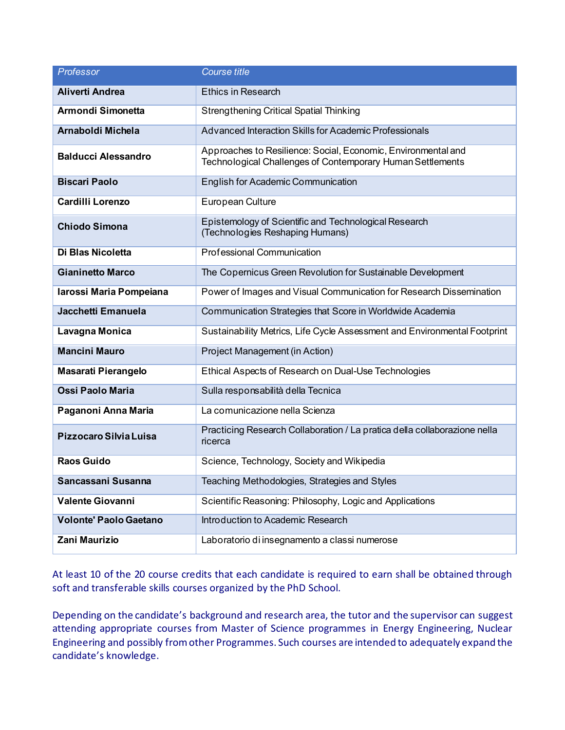| Professor                     | <b>Course title</b>                                                                                                         |  |
|-------------------------------|-----------------------------------------------------------------------------------------------------------------------------|--|
| <b>Aliverti Andrea</b>        | <b>Ethics in Research</b>                                                                                                   |  |
| Armondi Simonetta             | <b>Strengthening Critical Spatial Thinking</b>                                                                              |  |
| Arnaboldi Michela             | Advanced Interaction Skills for Academic Professionals                                                                      |  |
| <b>Balducci Alessandro</b>    | Approaches to Resilience: Social, Economic, Environmental and<br>Technological Challenges of Contemporary Human Settlements |  |
| <b>Biscari Paolo</b>          | English for Academic Communication                                                                                          |  |
| <b>Cardilli Lorenzo</b>       | European Culture                                                                                                            |  |
| <b>Chiodo Simona</b>          | Epistemology of Scientific and Technological Research<br>(Technologies Reshaping Humans)                                    |  |
| Di Blas Nicoletta             | <b>Professional Communication</b>                                                                                           |  |
| <b>Gianinetto Marco</b>       | The Copernicus Green Revolution for Sustainable Development                                                                 |  |
| Iarossi Maria Pompeiana       | Power of Images and Visual Communication for Research Dissemination                                                         |  |
| Jacchetti Emanuela            | Communication Strategies that Score in Worldwide Academia                                                                   |  |
| Lavagna Monica                | Sustainability Metrics, Life Cycle Assessment and Environmental Footprint                                                   |  |
| <b>Mancini Mauro</b>          | Project Management (in Action)                                                                                              |  |
| <b>Masarati Pierangelo</b>    | Ethical Aspects of Research on Dual-Use Technologies                                                                        |  |
| <b>Ossi Paolo Maria</b>       | Sulla responsabilità della Tecnica                                                                                          |  |
| Paganoni Anna Maria           | La comunicazione nella Scienza                                                                                              |  |
| Pizzocaro Silvia Luisa        | Practicing Research Collaboration / La pratica della collaborazione nella<br>ricerca                                        |  |
| <b>Raos Guido</b>             | Science, Technology, Society and Wikipedia                                                                                  |  |
| Sancassani Susanna            | Teaching Methodologies, Strategies and Styles                                                                               |  |
| <b>Valente Giovanni</b>       | Scientific Reasoning: Philosophy, Logic and Applications                                                                    |  |
| <b>Volonte' Paolo Gaetano</b> | Introduction to Academic Research                                                                                           |  |
| Zani Maurizio                 | Laboratorio di insegnamento a classi numerose                                                                               |  |

At least 10 of the 20 course credits that each candidate is required to earn shall be obtained through soft and transferable skills courses organized by the PhD School.

Depending on the candidate's background and research area, the tutor and the supervisor can suggest attending appropriate courses from Master of Science programmes in Energy Engineering, Nuclear Engineering and possibly from other Programmes. Such courses are intended to adequately expand the candidate's knowledge.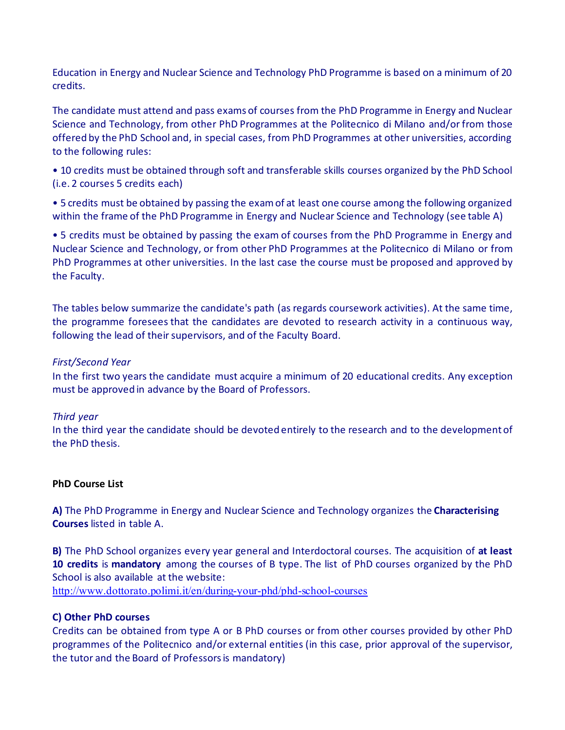Education in Energy and Nuclear Science and Technology PhD Programme is based on a minimum of 20 credits.

The candidate must attend and pass exams of courses from the PhD Programme in Energy and Nuclear Science and Technology, from other PhD Programmes at the Politecnico di Milano and/or from those offered by the PhD School and, in special cases, from PhD Programmes at other universities, according to the following rules:

• 10 credits must be obtained through soft and transferable skills courses organized by the PhD School (i.e. 2 courses 5 credits each)

• 5 credits must be obtained by passing the exam of at least one course among the following organized within the frame of the PhD Programme in Energy and Nuclear Science and Technology (see table A)

• 5 credits must be obtained by passing the exam of courses from the PhD Programme in Energy and Nuclear Science and Technology, or from other PhD Programmes at the Politecnico di Milano or from PhD Programmes at other universities. In the last case the course must be proposed and approved by the Faculty.

The tables below summarize the candidate's path (as regards coursework activities). At the same time, the programme foresees that the candidates are devoted to research activity in a continuous way, following the lead of their supervisors, and of the Faculty Board.

#### *First/Second Year*

In the first two years the candidate must acquire a minimum of 20 educational credits. Any exception must be approved in advance by the Board of Professors.

#### *Third year*

In the third year the candidate should be devoted entirely to the research and to the development of the PhD thesis.

#### **PhD Course List**

**A)** The PhD Programme in Energy and Nuclear Science and Technology organizes the **Characterising Courses** listed in table A.

**B)** The PhD School organizes every year general and Interdoctoral courses. The acquisition of **at least 10 credits** is **mandatory** among the courses of B type. The list of PhD courses organized by the PhD School is also available at the website:

<http://www.dottorato.polimi.it/en/during-your-phd/phd-school-courses>

#### **C) Other PhD courses**

Credits can be obtained from type A or B PhD courses or from other courses provided by other PhD programmes of the Politecnico and/or external entities (in this case, prior approval of the supervisor, the tutor and the Board of Professors is mandatory)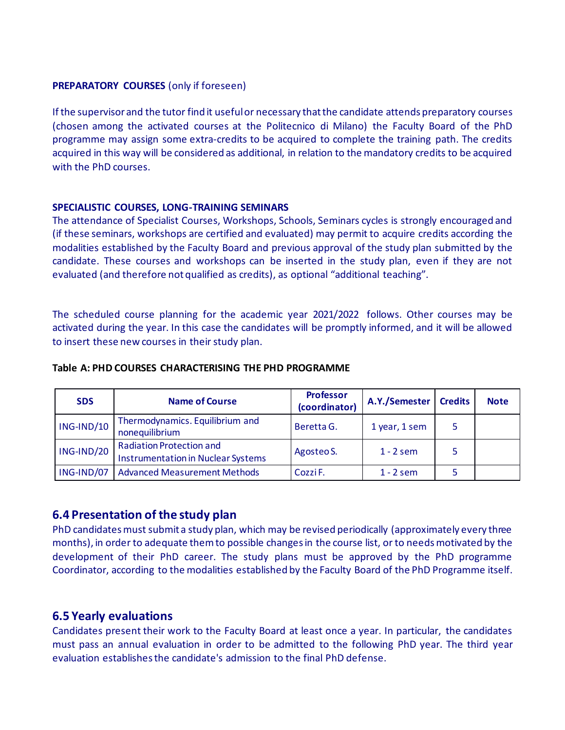#### **PREPARATORY COURSES** (only if foreseen)

If the supervisor and the tutor find it useful or necessary that the candidate attends preparatory courses (chosen among the activated courses at the Politecnico di Milano) the Faculty Board of the PhD programme may assign some extra-credits to be acquired to complete the training path. The credits acquired in this way will be considered as additional, in relation to the mandatory credits to be acquired with the PhD courses.

#### **SPECIALISTIC COURSES, LONG-TRAINING SEMINARS**

The attendance of Specialist Courses, Workshops, Schools, Seminars cycles is strongly encouraged and (if these seminars, workshops are certified and evaluated) may permit to acquire credits according the modalities established by the Faculty Board and previous approval of the study plan submitted by the candidate. These courses and workshops can be inserted in the study plan, even if they are not evaluated (and therefore not qualified as credits), as optional "additional teaching".

The scheduled course planning for the academic year 2021/2022 follows. Other courses may be activated during the year. In this case the candidates will be promptly informed, and it will be allowed to insert these new courses in their study plan.

| <b>SDS</b> | <b>Name of Course</b>                                                        | <b>Professor</b><br>(coordinator) | A.Y./Semester | <b>Credits</b> | <b>Note</b> |
|------------|------------------------------------------------------------------------------|-----------------------------------|---------------|----------------|-------------|
| ING-IND/10 | Thermodynamics. Equilibrium and<br>nonequilibrium                            | Beretta G.                        | 1 year, 1 sem | 5              |             |
| ING-IND/20 | <b>Radiation Protection and</b><br><b>Instrumentation in Nuclear Systems</b> | Agosteo S.                        | $1 - 2$ sem   |                |             |
| ING-IND/07 | <b>Advanced Measurement Methods</b>                                          | Cozzi F.                          | $1 - 2$ sem   |                |             |

#### **Table A: PHD COURSES CHARACTERISING THE PHD PROGRAMME**

### **6.4 Presentation of the study plan**

PhD candidates must submit a study plan, which may be revised periodically (approximately every three months), in order to adequate them to possible changes in the course list, or to needs motivated by the development of their PhD career. The study plans must be approved by the PhD programme Coordinator, according to the modalities established by the Faculty Board of the PhD Programme itself.

#### **6.5 Yearly evaluations**

Candidates present their work to the Faculty Board at least once a year. In particular, the candidates must pass an annual evaluation in order to be admitted to the following PhD year. The third year evaluation establishes the candidate's admission to the final PhD defense.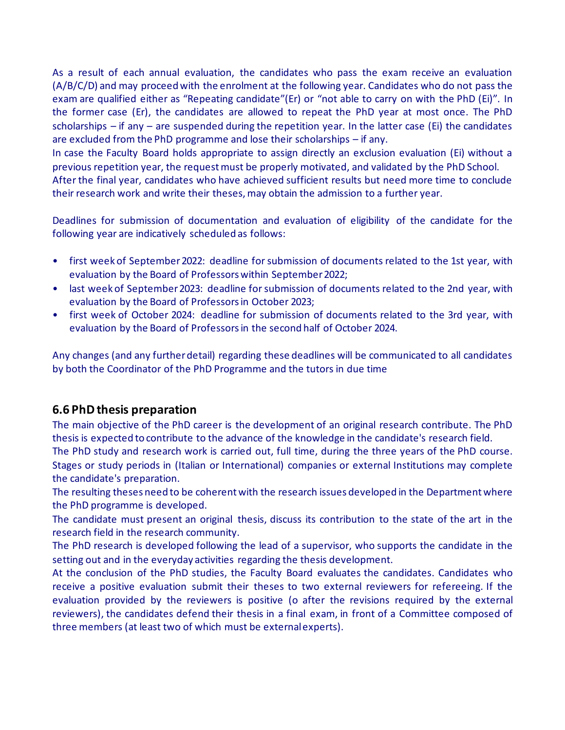As a result of each annual evaluation, the candidates who pass the exam receive an evaluation (A/B/C/D) and may proceed with the enrolment at the following year. Candidates who do not pass the exam are qualified either as "Repeating candidate"(Er) or "not able to carry on with the PhD (Ei)". In the former case (Er), the candidates are allowed to repeat the PhD year at most once. The PhD scholarships  $-$  if any  $-$  are suspended during the repetition year. In the latter case (Ei) the candidates are excluded from the PhD programme and lose their scholarships – if any.

In case the Faculty Board holds appropriate to assign directly an exclusion evaluation (Ei) without a previous repetition year, the request must be properly motivated, and validated by the PhD School.

After the final year, candidates who have achieved sufficient results but need more time to conclude their research work and write their theses, may obtain the admission to a further year.

Deadlines for submission of documentation and evaluation of eligibility of the candidate for the following year are indicatively scheduled as follows:

- first week of September 2022: deadline for submission of documents related to the 1st year, with evaluation by the Board of Professors within September 2022;
- last week of September 2023: deadline for submission of documents related to the 2nd year, with evaluation by the Board of Professors in October 2023;
- first week of October 2024: deadline for submission of documents related to the 3rd year, with evaluation by the Board of Professors in the second half of October 2024.

Any changes (and any further detail) regarding these deadlines will be communicated to all candidates by both the Coordinator of the PhD Programme and the tutors in due time

### **6.6 PhD thesis preparation**

The main objective of the PhD career is the development of an original research contribute. The PhD thesis is expected to contribute to the advance of the knowledge in the candidate's research field.

The PhD study and research work is carried out, full time, during the three years of the PhD course. Stages or study periods in (Italian or International) companies or external Institutions may complete the candidate's preparation.

The resulting theses need to be coherent with the research issues developed in the Department where the PhD programme is developed.

The candidate must present an original thesis, discuss its contribution to the state of the art in the research field in the research community.

The PhD research is developed following the lead of a supervisor, who supports the candidate in the setting out and in the everyday activities regarding the thesis development.

At the conclusion of the PhD studies, the Faculty Board evaluates the candidates. Candidates who receive a positive evaluation submit their theses to two external reviewers for refereeing. If the evaluation provided by the reviewers is positive (o after the revisions required by the external reviewers), the candidates defend their thesis in a final exam, in front of a Committee composed of three members (at least two of which must be external experts).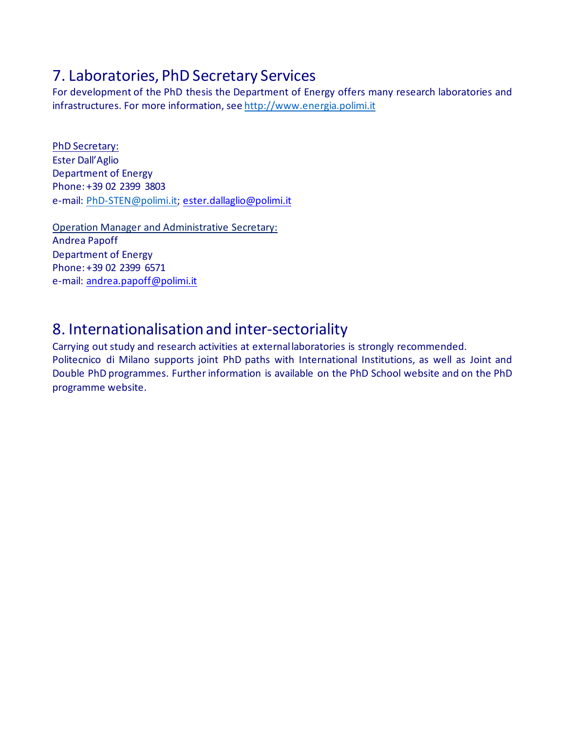## 7. Laboratories, PhD Secretary Services

For development of the PhD thesis the Department of Energy offers many research laboratories and infrastructures. For more information, see [http://www.energia.polimi.it](http://www.energia.polimi.it/)

PhD Secretary: Ester Dall'Aglio Department of Energy Phone: +39 02 2399 3803 e-mail: [PhD-STEN@polimi.it;](mailto:PhD-STEN@polimi.it) [ester.dallaglio@polimi.it](mailto:ester.dallaglio@polimi.it)

Operation Manager and Administrative Secretary: Andrea Papoff Department of Energy Phone: +39 02 2399 6571 e-mail: [andrea.papoff@polimi.it](mailto:andrea.papoff@polimi.it)

## 8. Internationalisation and inter-sectoriality

Carrying out study and research activities at external laboratories is strongly recommended. Politecnico di Milano supports joint PhD paths with International Institutions, as well as Joint and Double PhD programmes. Further information is available on the PhD School website and on the PhD programme website.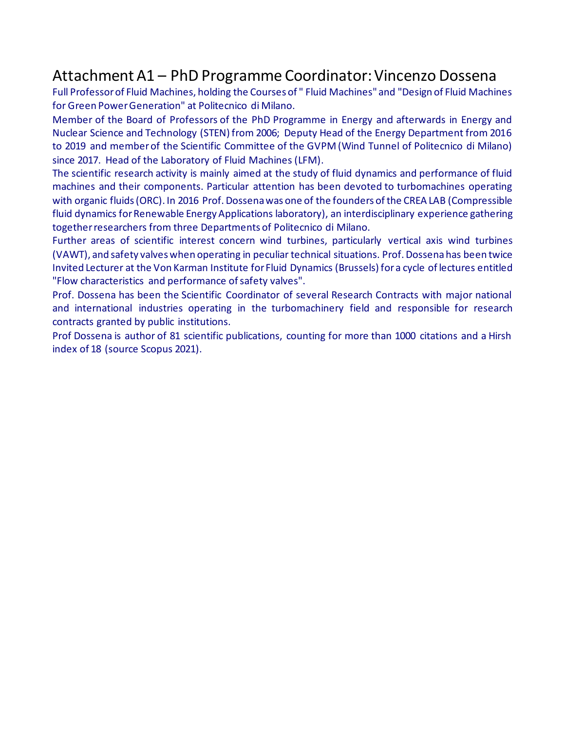## Attachment A1 – PhD Programme Coordinator: Vincenzo Dossena

Full Professor of Fluid Machines, holding the Courses of " Fluid Machines" and "Design of Fluid Machines for Green Power Generation" at Politecnico di Milano.

Member of the Board of Professors of the PhD Programme in Energy and afterwards in Energy and Nuclear Science and Technology (STEN) from 2006; Deputy Head of the Energy Department from 2016 to 2019 and member of the Scientific Committee of the GVPM (Wind Tunnel of Politecnico di Milano) since 2017. Head of the Laboratory of Fluid Machines (LFM).

The scientific research activity is mainly aimed at the study of fluid dynamics and performance of fluid machines and their components. Particular attention has been devoted to turbomachines operating with organic fluids (ORC). In 2016 Prof. Dossena was one of the founders of the CREA LAB (Compressible fluid dynamics for Renewable Energy Applications laboratory), an interdisciplinary experience gathering together researchers from three Departments of Politecnico di Milano.

Further areas of scientific interest concern wind turbines, particularly vertical axis wind turbines (VAWT), and safety valves when operating in peculiar technical situations. Prof. Dossena has been twice Invited Lecturer at the Von Karman Institute for Fluid Dynamics (Brussels) for a cycle of lectures entitled "Flow characteristics and performance of safety valves".

Prof. Dossena has been the Scientific Coordinator of several Research Contracts with major national and international industries operating in the turbomachinery field and responsible for research contracts granted by public institutions.

Prof Dossena is author of 81 scientific publications, counting for more than 1000 citations and a Hirsh index of 18 (source Scopus 2021).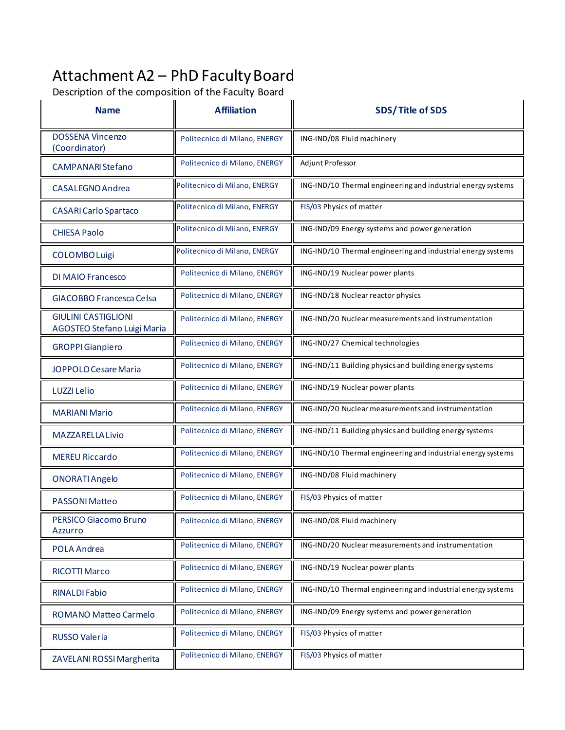# Attachment A2 – PhD Faculty Board

Description of the composition of the Faculty Board

| <b>Name</b>                                               | <b>Affiliation</b>            | <b>SDS/Title of SDS</b>                                      |  |
|-----------------------------------------------------------|-------------------------------|--------------------------------------------------------------|--|
| <b>DOSSENA Vincenzo</b><br>(Coordinator)                  | Politecnico di Milano, ENERGY | ING-IND/08 Fluid machinery                                   |  |
| <b>CAMPANARI Stefano</b>                                  | Politecnico di Milano, ENERGY | Adjunt Professor                                             |  |
| CASALEGNO Andrea                                          | Politecnico di Milano, ENERGY | ING-IND/10 Thermal engineering and industrial energy systems |  |
| <b>CASARI Carlo Spartaco</b>                              | Politecnico di Milano, ENERGY | FIS/03 Physics of matter                                     |  |
| <b>CHIESA Paolo</b>                                       | Politecnico di Milano, ENERGY | ING-IND/09 Energy systems and power generation               |  |
| <b>COLOMBO Luigi</b>                                      | Politecnico di Milano, ENERGY | ING-IND/10 Thermal engineering and industrial energy systems |  |
| <b>DI MAIO Francesco</b>                                  | Politecnico di Milano, ENERGY | ING-IND/19 Nuclear power plants                              |  |
| <b>GIACOBBO Francesca Celsa</b>                           | Politecnico di Milano, ENERGY | ING-IND/18 Nuclear reactor physics                           |  |
| <b>GIULINI CASTIGLIONI</b><br>AGOSTEO Stefano Luigi Maria | Politecnico di Milano, ENERGY | ING-IND/20 Nuclear measurements and instrumentation          |  |
| <b>GROPPI</b> Gianpiero                                   | Politecnico di Milano, ENERGY | ING-IND/27 Chemical technologies                             |  |
| JOPPOLO Cesare Maria                                      | Politecnico di Milano, ENERGY | ING-IND/11 Building physics and building energy systems      |  |
| LUZZI Lelio                                               | Politecnico di Milano, ENERGY | ING-IND/19 Nuclear power plants                              |  |
| <b>MARIANI Mario</b>                                      | Politecnico di Milano, ENERGY | ING-IND/20 Nuclear measurements and instrumentation          |  |
| <b>MAZZARELLA Livio</b>                                   | Politecnico di Milano, ENERGY | ING-IND/11 Building physics and building energy systems      |  |
| <b>MEREU Riccardo</b>                                     | Politecnico di Milano, ENERGY | ING-IND/10 Thermal engineering and industrial energy systems |  |
| <b>ONORATI Angelo</b>                                     | Politecnico di Milano, ENERGY | ING-IND/08 Fluid machinery                                   |  |
| <b>PASSONI Matteo</b>                                     | Politecnico di Milano, ENERGY | FIS/03 Physics of matter                                     |  |
| PERSICO Giacomo Bruno<br>Azzurro                          | Politecnico di Milano, ENERGY | ING-IND/08 Fluid machinery                                   |  |
| POLA Andrea                                               | Politecnico di Milano, ENERGY | ING-IND/20 Nuclear measurements and instrumentation          |  |
| <b>RICOTTI Marco</b>                                      | Politecnico di Milano, ENERGY | ING-IND/19 Nuclear power plants                              |  |
| <b>RINALDI Fabio</b>                                      | Politecnico di Milano, ENERGY | ING-IND/10 Thermal engineering and industrial energy systems |  |
| <b>ROMANO Matteo Carmelo</b>                              | Politecnico di Milano, ENERGY | ING-IND/09 Energy systems and power generation               |  |
| <b>RUSSO Valeria</b>                                      | Politecnico di Milano, ENERGY | FIS/03 Physics of matter                                     |  |
| ZAVELANI ROSSI Margherita                                 | Politecnico di Milano, ENERGY | FIS/03 Physics of matter                                     |  |